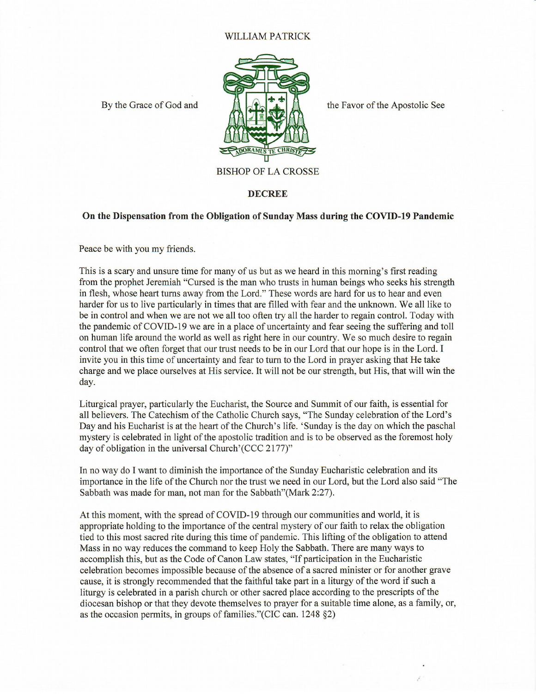## WILLIAM PATRICK



By the Grace of God and  $\mathbb{R}$   $\rightarrow$  T

BISHOP OF LA CROSSE

## **DECREE**

## **On the Dispensation from the Obligation of Sunday** Mass **during the COVID-19 Pandemic**

Peace be with you my friends.

This is a scary and unsure time for many of us but as we heard in this morning's first reading from the prophet Jeremiah "Cursed is the man who trusts in human beings who seeks his strength in flesh, whose heart turns away from the Lord." These words are hard for us to hear and even harder for us to live particularly in times that are filled with fear and the unknown. We all like to be in control and when we are not we all too often try all the harder to regain control. Today with the pandemic of COVID-19 we are in a place of uncertainty and fear seeing the suffering and toll on human life around the world as well as right here in our country. We so much desire to regain control that we often forget that our trust needs to be in our Lord that our hope is in the Lord. I invite you in this time of uncertainty and fear to tum to the Lord in prayer asking that He take charge and we place ourselves at His service. It will not be our strength, but His, that will win the day.

Liturgical prayer, particularly the Eucharist, the Source and Summit of our faith, is essential for all believers. The Catechism of the Catholic Church says, "The Sunday celebration of the Lord's Day and his Eucharist is at the heart of the Church's life. 'Sunday is the day on which the paschal mystery is celebrated in light of the apostolic tradition and is to be observed as the foremost holy day of obligation in the universal Church'(CCC 2177)"

In no way do I want to diminish the importance of the Sunday Eucharistic celebration and its importance in the life of the Church nor the trust we need in our Lord, but the Lord also said "The Sabbath was made for man, not man for the Sabbath"(Mark 2:27).

At this moment, with the spread of COVID-19 through our communities and world, it is appropriate holding to the importance of the central mystery of our faith to relax the obligation tied to this most sacred rite during this time of pandemic. This lifting of the obligation to attend Mass in no way reduces the command to keep Holy the Sabbath. There are many ways to accomplish this, but as the Code of Canon Law states, "If participation in the Eucharistic celebration becomes impossible because of the absence of a sacred minister or for another grave cause, it is strongly recommended that the faithful take part in a liturgy of the word if such a liturgy is celebrated in a parish church or other sacred place according to the prescripts of the diocesan bishop or that they devote themselves to prayer for a suitable time alone, as a family, or, as the occasion permits, in groups of families."(CIC can.  $1248$   $\S2$ )